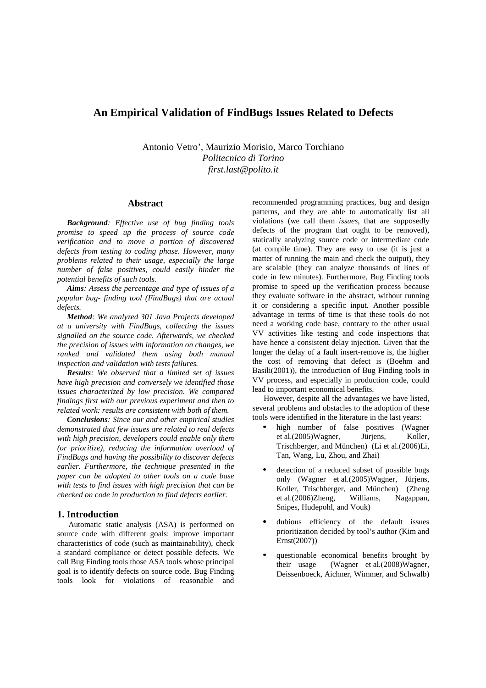# **An Empirical Validation of FindBugs Issues Related to Defects**

Antonio Vetro', Maurizio Morisio, Marco Torchiano *Politecnico di Torino first.last@polito.it* 

#### **Abstract**

*Background: Effective use of bug finding tools promise to speed up the process of source code verification and to move a portion of discovered defects from testing to coding phase. However, many problems related to their usage, especially the large number of false positives, could easily hinder the potential benefits of such tools.* 

*Aims: Assess the percentage and type of issues of a popular bug- finding tool (FindBugs) that are actual defects.* 

*Method: We analyzed 301 Java Projects developed at a university with FindBugs, collecting the issues signalled on the source code. Afterwards, we checked the precision of issues with information on changes, we ranked and validated them using both manual inspection and validation with tests failures.* 

*Results: We observed that a limited set of issues have high precision and conversely we identified those issues characterized by low precision. We compared findings first with our previous experiment and then to related work: results are consistent with both of them.* 

*Conclusions: Since our and other empirical studies demonstrated that few issues are related to real defects with high precision, developers could enable only them (or prioritize), reducing the information overload of FindBugs and having the possibility to discover defects earlier. Furthermore, the technique presented in the paper can be adopted to other tools on a code base with tests to find issues with high precision that can be checked on code in production to find defects earlier.* 

## **1. Introduction**

Automatic static analysis (ASA) is performed on source code with different goals: improve important characteristics of code (such as maintainability), check a standard compliance or detect possible defects. We call Bug Finding tools those ASA tools whose principal goal is to identify defects on source code. Bug Finding tools look for violations of reasonable and

recommended programming practices, bug and design patterns, and they are able to automatically list all violations (we call them *issues*, that are supposedly defects of the program that ought to be removed), statically analyzing source code or intermediate code (at compile time). They are easy to use (it is just a matter of running the main and check the output), they are scalable (they can analyze thousands of lines of code in few minutes). Furthermore, Bug Finding tools promise to speed up the verification process because they evaluate software in the abstract, without running it or considering a specific input. Another possible advantage in terms of time is that these tools do not need a working code base, contrary to the other usual VV activities like testing and code inspections that have hence a consistent delay injection. Given that the longer the delay of a fault insert-remove is, the higher the cost of removing that defect is (Boehm and Basili(2001)), the introduction of Bug Finding tools in VV process, and especially in production code, could lead to important economical benefits.

However, despite all the advantages we have listed, several problems and obstacles to the adoption of these tools were identified in the literature in the last years:

- high number of false positives (Wagner et al.(2005)Wagner, Jürjens, Koller, Trischberger, and München) (Li et al.(2006)Li, Tan, Wang, Lu, Zhou, and Zhai)
- detection of a reduced subset of possible bugs only (Wagner et al.(2005)Wagner, Jürjens, Koller, Trischberger, and München) (Zheng et al.(2006)Zheng, Williams, Nagappan, Snipes, Hudepohl, and Vouk)
- dubious efficiency of the default issues prioritization decided by tool's author (Kim and Ernst(2007))
- questionable economical benefits brought by their usage (Wagner et al.(2008)Wagner, Deissenboeck, Aichner, Wimmer, and Schwalb)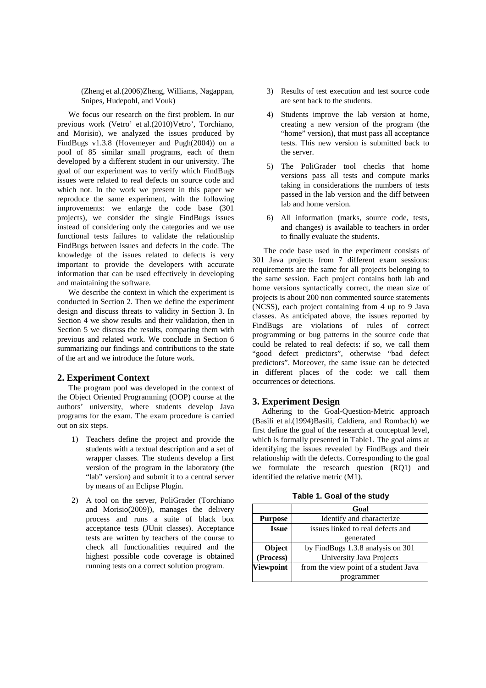(Zheng et al.(2006)Zheng, Williams, Nagappan, Snipes, Hudepohl, and Vouk)

We focus our research on the first problem. In our previous work (Vetro' et al.(2010)Vetro', Torchiano, and Morisio), we analyzed the issues produced by FindBugs v1.3.8 (Hovemeyer and Pugh(2004)) on a pool of 85 similar small programs, each of them developed by a different student in our university. The goal of our experiment was to verify which FindBugs issues were related to real defects on source code and which not. In the work we present in this paper we reproduce the same experiment, with the following improvements: we enlarge the code base (301 projects), we consider the single FindBugs issues instead of considering only the categories and we use functional tests failures to validate the relationship FindBugs between issues and defects in the code. The knowledge of the issues related to defects is very important to provide the developers with accurate information that can be used effectively in developing and maintaining the software.

We describe the context in which the experiment is conducted in Section 2. Then we define the experiment design and discuss threats to validity in Section 3. In Section 4 we show results and their validation, then in Section 5 we discuss the results, comparing them with previous and related work. We conclude in Section 6 summarizing our findings and contributions to the state of the art and we introduce the future work.

#### **2. Experiment Context**

The program pool was developed in the context of the Object Oriented Programming (OOP) course at the authors' university, where students develop Java programs for the exam. The exam procedure is carried out on six steps.

- 1) Teachers define the project and provide the students with a textual description and a set of wrapper classes. The students develop a first version of the program in the laboratory (the "lab" version) and submit it to a central server by means of an Eclipse Plugin.
- 2) A tool on the server, PoliGrader (Torchiano and Morisio(2009)), manages the delivery process and runs a suite of black box acceptance tests (JUnit classes). Acceptance tests are written by teachers of the course to check all functionalities required and the highest possible code coverage is obtained running tests on a correct solution program.
- 3) Results of test execution and test source code are sent back to the students.
- 4) Students improve the lab version at home, creating a new version of the program (the "home" version), that must pass all acceptance tests. This new version is submitted back to the server.
- 5) The PoliGrader tool checks that home versions pass all tests and compute marks taking in considerations the numbers of tests passed in the lab version and the diff between lab and home version.
- 6) All information (marks, source code, tests, and changes) is available to teachers in order to finally evaluate the students.

The code base used in the experiment consists of 301 Java projects from 7 different exam sessions: requirements are the same for all projects belonging to the same session. Each project contains both lab and home versions syntactically correct, the mean size of projects is about 200 non commented source statements (NCSS), each project containing from 4 up to 9 Java classes. As anticipated above, the issues reported by FindBugs are violations of rules of correct programming or bug patterns in the source code that could be related to real defects: if so, we call them "good defect predictors", otherwise "bad defect predictors". Moreover, the same issue can be detected in different places of the code: we call them occurrences or detections.

## **3. Experiment Design**

Adhering to the Goal-Question-Metric approach (Basili et al.(1994)Basili, Caldiera, and Rombach) we first define the goal of the research at conceptual level, which is formally presented in Table1. The goal aims at identifying the issues revealed by FindBugs and their relationship with the defects. Corresponding to the goal we formulate the research question (RQ1) and identified the relative metric (M1).

| Table 1. Goal of the study |  |  |  |  |  |  |
|----------------------------|--|--|--|--|--|--|
|----------------------------|--|--|--|--|--|--|

|                  | Goal                                  |  |  |
|------------------|---------------------------------------|--|--|
| <b>Purpose</b>   | Identify and characterize             |  |  |
| <b>Issue</b>     | issues linked to real defects and     |  |  |
|                  | generated                             |  |  |
| Object           | by FindBugs 1.3.8 analysis on 301     |  |  |
| (Process)        | University Java Projects              |  |  |
| <b>Viewpoint</b> | from the view point of a student Java |  |  |
|                  | programmer                            |  |  |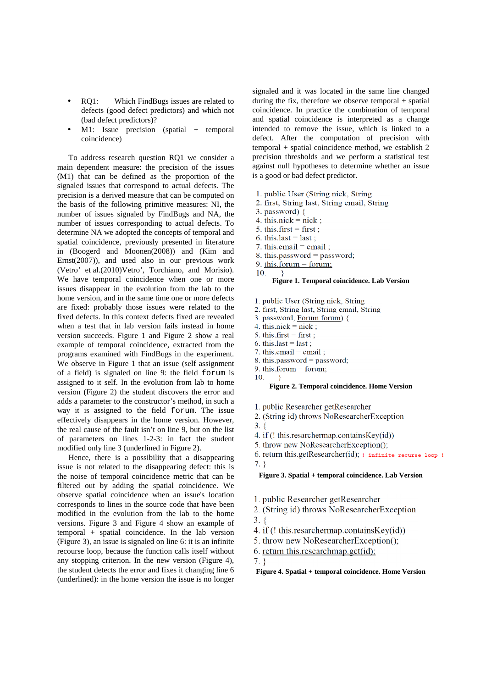- RO1: Which FindBugs issues are related to defects (good defect predictors) and which not (bad defect predictors)?
- M1: Issue precision (spatial + temporal coincidence)

To address research question RQ1 we consider a main dependent measure: the precision of the issues (M1) that can be defined as the proportion of the signaled issues that correspond to actual defects. The precision is a derived measure that can be computed on the basis of the following primitive measures: NI, the number of issues signaled by FindBugs and NA, the number of issues corresponding to actual defects. To determine NA we adopted the concepts of temporal and spatial coincidence, previously presented in literature in (Boogerd and Moonen(2008)) and (Kim and Ernst(2007)), and used also in our previous work (Vetro' et al.(2010)Vetro', Torchiano, and Morisio). We have temporal coincidence when one or more issues disappear in the evolution from the lab to the home version, and in the same time one or more defects are fixed: probably those issues were related to the fixed defects. In this context defects fixed are revealed when a test that in lab version fails instead in home version succeeds. Figure 1 and Figure 2 show a real example of temporal coincidence, extracted from the programs examined with FindBugs in the experiment. We observe in Figure 1 that an issue (self assignment of a field) is signaled on line 9: the field forum is assigned to it self. In the evolution from lab to home version (Figure 2) the student discovers the error and adds a parameter to the constructor's method, in such a way it is assigned to the field forum. The issue effectively disappears in the home version. However, the real cause of the fault isn't on line 9, but on the list of parameters on lines 1-2-3: in fact the student modified only line 3 (underlined in Figure 2).

Hence, there is a possibility that a disappearing issue is not related to the disappearing defect: this is the noise of temporal coincidence metric that can be filtered out by adding the spatial coincidence. We observe spatial coincidence when an issue's location corresponds to lines in the source code that have been modified in the evolution from the lab to the home versions. Figure 3 and Figure 4 show an example of temporal + spatial coincidence. In the lab version (Figure 3), an issue is signaled on line 6: it is an infinite recourse loop, because the function calls itself without any stopping criterion. In the new version (Figure 4), the student detects the error and fixes it changing line 6 (underlined): in the home version the issue is no longer

signaled and it was located in the same line changed during the fix, therefore we observe temporal + spatial coincidence. In practice the combination of temporal and spatial coincidence is interpreted as a change intended to remove the issue, which is linked to a defect. After the computation of precision with temporal + spatial coincidence method, we establish 2 precision thresholds and we perform a statistical test against null hypotheses to determine whether an issue is a good or bad defect predictor.

- 1. public User (String nick, String)
- 2. first, String last, String email, String
- 3. password)  $\{$
- 4. this  $nick = nick$ :
- 5. this.first = first ;
- 6. this.last = last;
- 7. this email = email ;
- 8. this.password = password;
- 9. this forum = forum;
- 10. ₹

#### **Figure 1. Temporal coincidence. Lab Version**

- 1. public User (String nick, String)
- 2. first, String last, String email, String
- 3. password, Forum forum) {
- 4. this  $nick = nick$ ;
- 5. this.first = first;
- 6. this.last = last;
- 7. this email = email ;
- 8. this password = password;
- 9. this forum  $=$  forum; - }-

 $10<sup>1</sup>$ 

#### **Figure 2. Temporal coincidence. Home Version**

- 1. public Researcher getResearcher
- 2. (String id) throws NoResearcherException
- $3. \}$
- 4. if (! this.resarchermap.containsKey(id))
- 5. throw new NoResearcherException();
- 6. return this.getResearcher(id);  $\frac{1}{1}$  infinite recurse loop !  $7.$

#### **Figure 3. Spatial + temporal coincidence. Lab Version**

- 1. public Researcher getResearcher
- 2. (String id) throws NoResearcherException
- $3.8$
- 4. if (! this.resarchermap.containsKey(id))
- 5. throw new NoResearcherException();
- 6. return this research map get(id);
- $7.$

#### **Figure 4. Spatial + temporal coincidence. Home Version**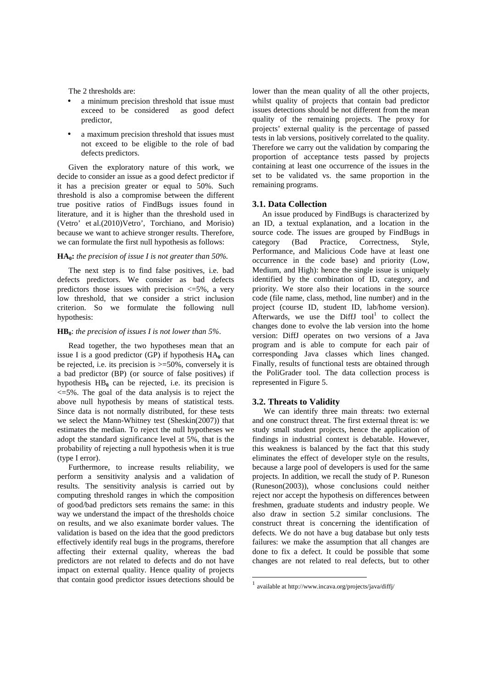The 2 thresholds are:

- a minimum precision threshold that issue must exceed to be considered as good defect predictor,
- a maximum precision threshold that issues must not exceed to be eligible to the role of bad defects predictors.

Given the exploratory nature of this work, we decide to consider an issue as a good defect predictor if it has a precision greater or equal to 50%. Such threshold is also a compromise between the different true positive ratios of FindBugs issues found in literature, and it is higher than the threshold used in (Vetro' et al.(2010)Vetro', Torchiano, and Morisio) because we want to achieve stronger results. Therefore, we can formulate the first null hypothesis as follows:

#### **HA0:** *the precision of issue I is not greater than 50%.*

The next step is to find false positives, i.e. bad defects predictors. We consider as bad defects predictors those issues with precision  $\leq$ =5%, a very low threshold, that we consider a strict inclusion criterion. So we formulate the following null hypothesis:

#### **HB0**: *the precision of issues I is not lower than 5%*.

Read together, the two hypotheses mean that an issue I is a good predictor  $(GP)$  if hypothesis  $HA_0$  can be rejected, i.e. its precision is  $\geq 50\%$ , conversely it is a bad predictor (BP) (or source of false positives) if hypothesis  $HB_0$  can be rejected, i.e. its precision is  $\leq$ =5%. The goal of the data analysis is to reject the above null hypothesis by means of statistical tests. Since data is not normally distributed, for these tests we select the Mann-Whitney test (Sheskin(2007)) that estimates the median. To reject the null hypotheses we adopt the standard significance level at 5%, that is the probability of rejecting a null hypothesis when it is true (type I error).

Furthermore, to increase results reliability, we perform a sensitivity analysis and a validation of results. The sensitivity analysis is carried out by computing threshold ranges in which the composition of good/bad predictors sets remains the same: in this way we understand the impact of the thresholds choice on results, and we also exanimate border values. The validation is based on the idea that the good predictors effectively identify real bugs in the programs, therefore affecting their external quality, whereas the bad predictors are not related to defects and do not have impact on external quality. Hence quality of projects that contain good predictor issues detections should be

lower than the mean quality of all the other projects, whilst quality of projects that contain bad predictor issues detections should be not different from the mean quality of the remaining projects. The proxy for projects' external quality is the percentage of passed tests in lab versions, positively correlated to the quality. Therefore we carry out the validation by comparing the proportion of acceptance tests passed by projects containing at least one occurrence of the issues in the set to be validated vs. the same proportion in the remaining programs.

### **3.1. Data Collection**

An issue produced by FindBugs is characterized by an ID, a textual explanation, and a location in the source code. The issues are grouped by FindBugs in category (Bad Practice, Correctness, Style, Performance, and Malicious Code have at least one occurrence in the code base) and priority (Low, Medium, and High): hence the single issue is uniquely identified by the combination of ID, category, and priority. We store also their locations in the source code (file name, class, method, line number) and in the project (course ID, student ID, lab/home version). Afterwards, we use the DiffJ tool $1$  to collect the changes done to evolve the lab version into the home version: DiffJ operates on two versions of a Java program and is able to compute for each pair of corresponding Java classes which lines changed. Finally, results of functional tests are obtained through the PoliGrader tool. The data collection process is represented in Figure 5.

#### **3.2. Threats to Validity**

We can identify three main threats: two external and one construct threat. The first external threat is: we study small student projects, hence the application of findings in industrial context is debatable. However, this weakness is balanced by the fact that this study eliminates the effect of developer style on the results, because a large pool of developers is used for the same projects. In addition, we recall the study of P. Runeson (Runeson(2003)), whose conclusions could neither reject nor accept the hypothesis on differences between freshmen, graduate students and industry people. We also draw in section 5.2 similar conclusions. The construct threat is concerning the identification of defects. We do not have a bug database but only tests failures: we make the assumption that all changes are done to fix a defect. It could be possible that some changes are not related to real defects, but to other

 $\overline{a}$ 

<sup>1</sup> available at http://www.incava.org/projects/java/diffj/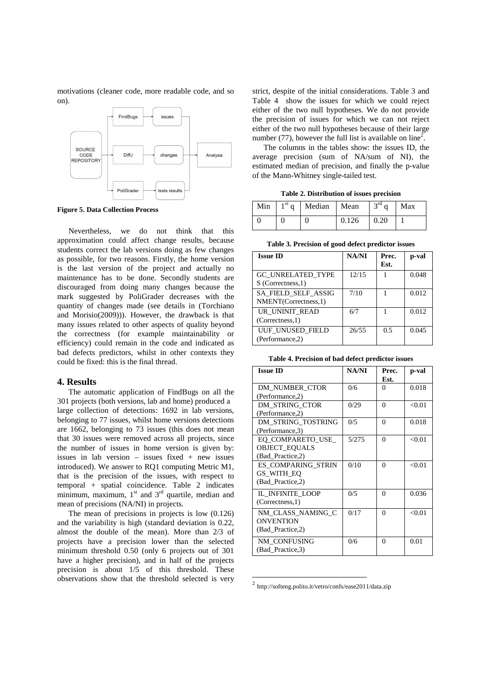motivations (cleaner code, more readable code, and so on).



**Figure 5. Data Collection Process** 

Nevertheless, we do not think that this approximation could affect change results, because students correct the lab versions doing as few changes as possible, for two reasons. Firstly, the home version is the last version of the project and actually no maintenance has to be done. Secondly students are discouraged from doing many changes because the mark suggested by PoliGrader decreases with the quantity of changes made (see details in (Torchiano and Morisio(2009))). However, the drawback is that many issues related to other aspects of quality beyond the correctness (for example maintainability or efficiency) could remain in the code and indicated as bad defects predictors, whilst in other contexts they could be fixed: this is the final thread.

### **4. Results**

The automatic application of FindBugs on all the 301 projects (both versions, lab and home) produced a large collection of detections: 1692 in lab versions, belonging to 77 issues, whilst home versions detections are 1662, belonging to 73 issues (this does not mean that 30 issues were removed across all projects, since the number of issues in home version is given by: issues in lab version – issues fixed  $+$  new issues introduced). We answer to RQ1 computing Metric M1, that is the precision of the issues, with respect to temporal + spatial coincidence. Table 2 indicates minimum, maximum,  $1<sup>st</sup>$  and  $3<sup>rd</sup>$  quartile, median and mean of precisions (NA/NI) in projects.

The mean of precisions in projects is low (0.126) and the variability is high (standard deviation is 0.22, almost the double of the mean). More than 2/3 of projects have a precision lower than the selected minimum threshold 0.50 (only 6 projects out of 301 have a higher precision), and in half of the projects precision is about 1/5 of this threshold. These observations show that the threshold selected is very

strict, despite of the initial considerations. Table 3 and Table 4 show the issues for which we could reject either of the two null hypotheses. We do not provide the precision of issues for which we can not reject either of the two null hypotheses because of their large number (77), however the full list is available on line<sup>2</sup>.

The columns in the tables show: the issues ID, the average precision (sum of NA/sum of NI), the estimated median of precision, and finally the p-value of the Mann-Whitney single-tailed test.

**Table 2. Distribution of issues precision** 

|  | Min $1st q$ Median Mean |       | $3^{rd}$ q Max |  |
|--|-------------------------|-------|----------------|--|
|  |                         | 0.126 | $\pm 0.20$     |  |

**Table 3. Precision of good defect predictor issues** 

| <b>Issue ID</b>                                    | NA/NI | Prec.<br>Est. | p-val |
|----------------------------------------------------|-------|---------------|-------|
| <b>GC UNRELATED TYPE</b><br>S (Correctness, 1)     | 12/15 |               | 0.048 |
| <b>SA FIELD SELF ASSIG</b><br>NMENT(Correctness,1) | 7/10  |               | 0.012 |
| UR UNINIT READ<br>(Correctness, 1)                 | 6/7   |               | 0.012 |
| UUF UNUSED FIELD<br>(Performance,2)                | 26/55 | 0.5           | 0.045 |

**Table 4. Precision of bad defect predictor issues** 

| <b>Issue ID</b>                                              | NA/NI | Prec.<br>Est. | p-val  |
|--------------------------------------------------------------|-------|---------------|--------|
| DM NUMBER CTOR<br>(Performance,2)                            | 0/6   | $\Omega$      | 0.018  |
| DM STRING CTOR<br>(Performance,2)                            | 0/29  | $\Omega$      | < 0.01 |
| DM STRING TOSTRING<br>(Performance, 3)                       | 0/5   | $\Omega$      | 0.018  |
| EO COMPARETO USE<br><b>OBJECT EQUALS</b><br>(Bad Practice,2) | 5/275 | $\Omega$      | < 0.01 |
| <b>ES COMPARING STRIN</b><br>GS WITH EO<br>(Bad Practice,2)  | 0/10  | $\Omega$      | < 0.01 |
| IL INFINITE LOOP<br>(Corrections, 1)                         | 0/5   | $\Omega$      | 0.036  |
| NM CLASS NAMING C<br><b>ONVENTION</b><br>(Bad Practice,2)    | 0/17  | $\Omega$      | < 0.01 |
| NM CONFUSING<br>(Bad_Practice,3)                             | 0/6   | 0             | 0.01   |

<sup>2</sup> http://softeng.polito.it/vetro/confs/ease2011/data.zip

 $\overline{a}$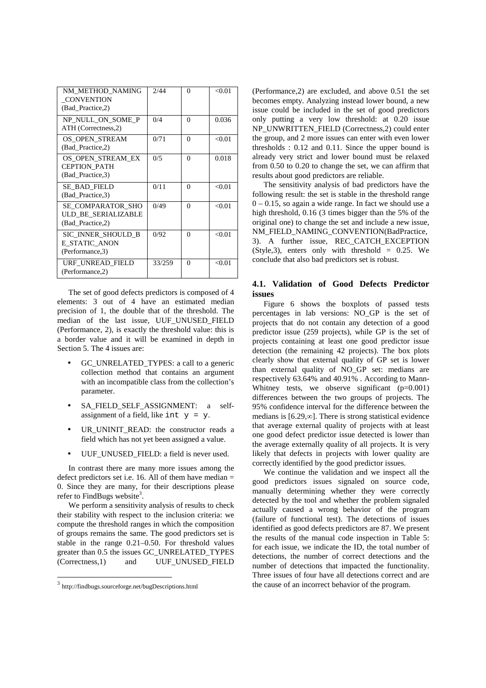| NM METHOD NAMING<br><b>CONVENTION</b><br>(Bad Practice,2)           | 2/44   | $\Omega$ | < 0.01 |
|---------------------------------------------------------------------|--------|----------|--------|
| NP NULL ON SOME P<br>ATH (Correctness, 2)                           | 0/4    | $\Omega$ | 0.036  |
| OS OPEN STREAM<br>(Bad Practice,2)                                  | 0/71   | $\Omega$ | < 0.01 |
| OS OPEN STREAM EX<br><b>CEPTION PATH</b><br>(Bad_Practice,3)        | 0/5    | $\Omega$ | 0.018  |
| SE BAD FIELD<br>(Bad Practice, 3)                                   | 0/11   | 0        | < 0.01 |
| <b>SE COMPARATOR SHO</b><br>ULD BE SERIALIZABLE<br>(Bad_Practice,2) | 0/49   | $\Omega$ | < 0.01 |
| SIC INNER SHOULD B<br>E STATIC ANON<br>(Performance, 3)             | 0/92   | 0        | < 0.01 |
| URF UNREAD FIELD<br>(Performance,2)                                 | 33/259 | $\Omega$ | < 0.01 |

The set of good defects predictors is composed of 4 elements: 3 out of 4 have an estimated median precision of 1, the double that of the threshold. The median of the last issue, UUF\_UNUSED\_FIELD (Performance, 2), is exactly the threshold value: this is a border value and it will be examined in depth in Section 5. The 4 issues are:

- GC\_UNRELATED\_TYPES: a call to a generic collection method that contains an argument with an incompatible class from the collection's parameter.
- SA\_FIELD\_SELF\_ASSIGNMENT: a selfassignment of a field, like int  $y = y$ .
- UR\_UNINIT\_READ: the constructor reads a field which has not yet been assigned a value.
- UUF\_UNUSED\_FIELD: a field is never used.

In contrast there are many more issues among the defect predictors set i.e. 16. All of them have median  $=$ 0. Since they are many, for their descriptions please refer to FindBugs website<sup>3</sup>.

We perform a sensitivity analysis of results to check their stability with respect to the inclusion criteria: we compute the threshold ranges in which the composition of groups remains the same. The good predictors set is stable in the range 0.21–0.50. For threshold values greater than 0.5 the issues GC\_UNRELATED\_TYPES (Correctness,1) and UUF\_UNUSED\_FIELD

1

(Performance,2) are excluded, and above 0.51 the set becomes empty. Analyzing instead lower bound, a new issue could be included in the set of good predictors only putting a very low threshold: at 0.20 issue NP\_UNWRITTEN\_FIELD (Correctness,2) could enter the group, and 2 more issues can enter with even lower thresholds : 0.12 and 0.11. Since the upper bound is already very strict and lower bound must be relaxed from 0.50 to 0.20 to change the set, we can affirm that results about good predictors are reliable.

The sensitivity analysis of bad predictors have the following result: the set is stable in the threshold range  $0 - 0.15$ , so again a wide range. In fact we should use a high threshold, 0.16 (3 times bigger than the 5% of the original one) to change the set and include a new issue, NM\_FIELD\_NAMING\_CONVENTION(BadPractice, 3). A further issue, REC\_CATCH\_EXCEPTION  $(Style,3)$ , enters only with threshold = 0.25. We conclude that also bad predictors set is robust.

### **4.1. Validation of Good Defects Predictor issues**

Figure 6 shows the boxplots of passed tests percentages in lab versions: NO\_GP is the set of projects that do not contain any detection of a good predictor issue (259 projects), while GP is the set of projects containing at least one good predictor issue detection (the remaining 42 projects). The box plots clearly show that external quality of GP set is lower than external quality of NO\_GP set: medians are respectively 63.64% and 40.91% . According to Mann-Whitney tests, we observe significant  $(p=0.001)$ differences between the two groups of projects. The 95% confidence interval for the difference between the medians is [6.29,∞]. There is strong statistical evidence that average external quality of projects with at least one good defect predictor issue detected is lower than the average externally quality of all projects. It is very likely that defects in projects with lower quality are correctly identified by the good predictor issues.

We continue the validation and we inspect all the good predictors issues signaled on source code, manually determining whether they were correctly detected by the tool and whether the problem signaled actually caused a wrong behavior of the program (failure of functional test). The detections of issues identified as good defects predictors are 87. We present the results of the manual code inspection in Table 5: for each issue, we indicate the ID, the total number of detections, the number of correct detections and the number of detections that impacted the functionality. Three issues of four have all detections correct and are the cause of an incorrect behavior of the program.

<sup>3</sup> http://findbugs.sourceforge.net/bugDescriptions.html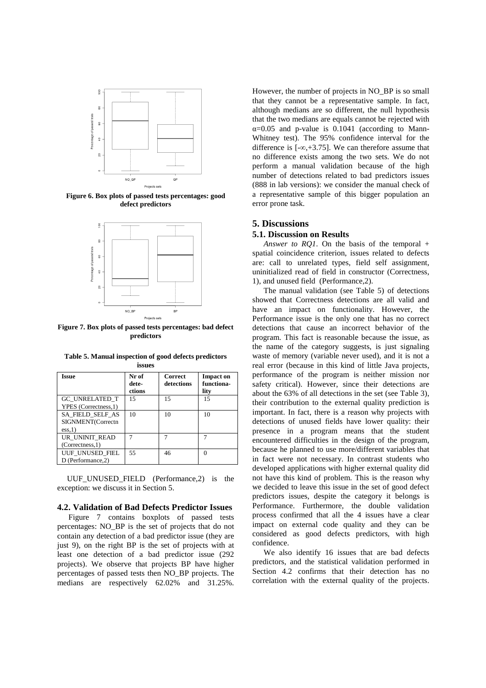

**Figure 6. Box plots of passed tests percentages: good defect predictors** 



**Figure 7. Box plots of passed tests percentages: bad defect predictors** 

| Issue                                           | Nr of<br>dete-<br>ctions | <b>Correct</b><br>detections | <b>Impact on</b><br>functiona-<br>lity |
|-------------------------------------------------|--------------------------|------------------------------|----------------------------------------|
| <b>GC UNRELATED T</b><br>YPES (Correctness, 1)  | 15                       | 15                           | 15                                     |
| SA FIELD_SELF_AS<br>SIGNMENT(Correctn<br>ess.1) | 10                       | 10                           | 10                                     |
| UR UNINIT READ<br>(Correctness, 1)              |                          |                              |                                        |
| UUF UNUSED FIEL<br>D (Performance.2)            | 55                       | 46                           |                                        |

**Table 5. Manual inspection of good defects predictors issues** 

UUF UNUSED FIELD (Performance, 2) is the exception: we discuss it in Section 5.

#### **4.2. Validation of Bad Defects Predictor Issues**

Figure 7 contains boxplots of passed tests percentages: NO\_BP is the set of projects that do not contain any detection of a bad predictor issue (they are just 9), on the right BP is the set of projects with at least one detection of a bad predictor issue (292 projects). We observe that projects BP have higher percentages of passed tests then NO\_BP projects. The medians are respectively 62.02% and 31.25%.

However, the number of projects in NO\_BP is so small that they cannot be a representative sample. In fact, although medians are so different, the null hypothesis that the two medians are equals cannot be rejected with  $\alpha$ =0.05 and p-value is 0.1041 (according to Mann-Whitney test). The 95% confidence interval for the difference is  $[-\infty, +3.75]$ . We can therefore assume that no difference exists among the two sets. We do not perform a manual validation because of the high number of detections related to bad predictors issues (888 in lab versions): we consider the manual check of a representative sample of this bigger population an error prone task.

# **5. Discussions**

### **5.1. Discussion on Results**

*Answer to RQ1*. On the basis of the temporal + spatial coincidence criterion, issues related to defects are: call to unrelated types, field self assignment, uninitialized read of field in constructor (Correctness, 1), and unused field (Performance,2).

The manual validation (see Table 5) of detections showed that Correctness detections are all valid and have an impact on functionality. However, the Performance issue is the only one that has no correct detections that cause an incorrect behavior of the program. This fact is reasonable because the issue, as the name of the category suggests, is just signaling waste of memory (variable never used), and it is not a real error (because in this kind of little Java projects, performance of the program is neither mission nor safety critical). However, since their detections are about the 63% of all detections in the set (see Table 3), their contribution to the external quality prediction is important. In fact, there is a reason why projects with detections of unused fields have lower quality: their presence in a program means that the student encountered difficulties in the design of the program, because he planned to use more/different variables that in fact were not necessary. In contrast students who developed applications with higher external quality did not have this kind of problem. This is the reason why we decided to leave this issue in the set of good defect predictors issues, despite the category it belongs is Performance. Furthermore, the double validation process confirmed that all the 4 issues have a clear impact on external code quality and they can be considered as good defects predictors, with high confidence.

We also identify 16 issues that are bad defects predictors, and the statistical validation performed in Section 4.2 confirms that their detection has no correlation with the external quality of the projects.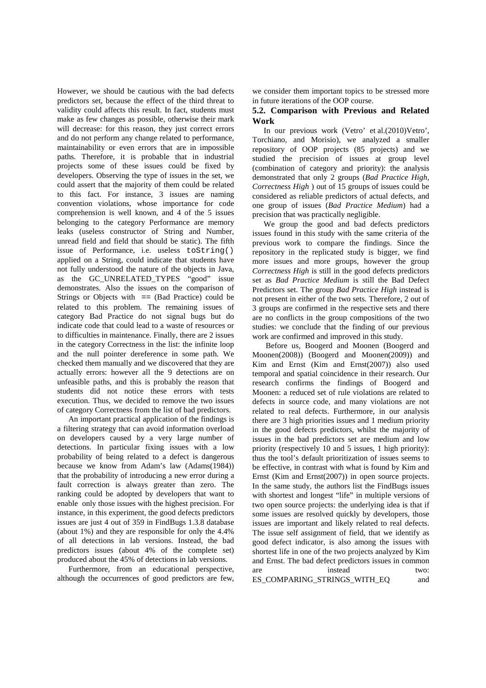However, we should be cautious with the bad defects predictors set, because the effect of the third threat to validity could affects this result. In fact, students must make as few changes as possible, otherwise their mark will decrease: for this reason, they just correct errors and do not perform any change related to performance, maintainability or even errors that are in impossible paths. Therefore, it is probable that in industrial projects some of these issues could be fixed by developers. Observing the type of issues in the set, we could assert that the majority of them could be related to this fact. For instance, 3 issues are naming convention violations, whose importance for code comprehension is well known, and 4 of the 5 issues belonging to the category Performance are memory leaks (useless constructor of String and Number, unread field and field that should be static). The fifth issue of Performance, i.e. useless toString() applied on a String, could indicate that students have not fully understood the nature of the objects in Java, as the GC\_UNRELATED\_TYPES "good" issue demonstrates. Also the issues on the comparison of Strings or Objects with  $=$  (Bad Practice) could be related to this problem. The remaining issues of category Bad Practice do not signal bugs but do indicate code that could lead to a waste of resources or to difficulties in maintenance. Finally, there are 2 issues in the category Correctness in the list: the infinite loop and the null pointer dereference in some path. We checked them manually and we discovered that they are actually errors: however all the 9 detections are on unfeasible paths, and this is probably the reason that students did not notice these errors with tests execution. Thus, we decided to remove the two issues of category Correctness from the list of bad predictors.

An important practical application of the findings is a filtering strategy that can avoid information overload on developers caused by a very large number of detections. In particular fixing issues with a low probability of being related to a defect is dangerous because we know from Adam's law (Adams(1984)) that the probability of introducing a new error during a fault correction is always greater than zero. The ranking could be adopted by developers that want to enable only those issues with the highest precision. For instance, in this experiment, the good defects predictors issues are just 4 out of 359 in FindBugs 1.3.8 database (about 1%) and they are responsible for only the 4.4% of all detections in lab versions. Instead, the bad predictors issues (about 4% of the complete set) produced about the 45% of detections in lab versions.

Furthermore, from an educational perspective, although the occurrences of good predictors are few, we consider them important topics to be stressed more in future iterations of the OOP course.

## **5.2. Comparison with Previous and Related Work**

In our previous work (Vetro' et al.(2010)Vetro', Torchiano, and Morisio), we analyzed a smaller repository of OOP projects (85 projects) and we studied the precision of issues at group level (combination of category and priority): the analysis demonstrated that only 2 groups (*Bad Practice High, Correctness High* ) out of 15 groups of issues could be considered as reliable predictors of actual defects, and one group of issues (*Bad Practice Medium*) had a precision that was practically negligible.

We group the good and bad defects predictors issues found in this study with the same criteria of the previous work to compare the findings. Since the repository in the replicated study is bigger, we find more issues and more groups, however the group *Correctness High* is still in the good defects predictors set as *Bad Practice Medium* is still the Bad Defect Predictors set. The group *Bad Practice High* instead is not present in either of the two sets. Therefore, 2 out of 3 groups are confirmed in the respective sets and there are no conflicts in the group compositions of the two studies: we conclude that the finding of our previous work are confirmed and improved in this study.

 Before us, Boogerd and Moonen (Boogerd and Moonen(2008)) (Boogerd and Moonen(2009)) and Kim and Ernst (Kim and Ernst(2007)) also used temporal and spatial coincidence in their research. Our research confirms the findings of Boogerd and Moonen: a reduced set of rule violations are related to defects in source code, and many violations are not related to real defects. Furthermore, in our analysis there are 3 high priorities issues and 1 medium priority in the good defects predictors, whilst the majority of issues in the bad predictors set are medium and low priority (respectively 10 and 5 issues, 1 high priority): thus the tool's default prioritization of issues seems to be effective, in contrast with what is found by Kim and Ernst (Kim and Ernst(2007)) in open source projects. In the same study, the authors list the FindBugs issues with shortest and longest "life" in multiple versions of two open source projects: the underlying idea is that if some issues are resolved quickly by developers, those issues are important and likely related to real defects. The issue self assignment of field, that we identify as good defect indicator, is also among the issues with shortest life in one of the two projects analyzed by Kim and Ernst. The bad defect predictors issues in common are instead two: ES\_COMPARING\_STRINGS\_WITH\_EQ and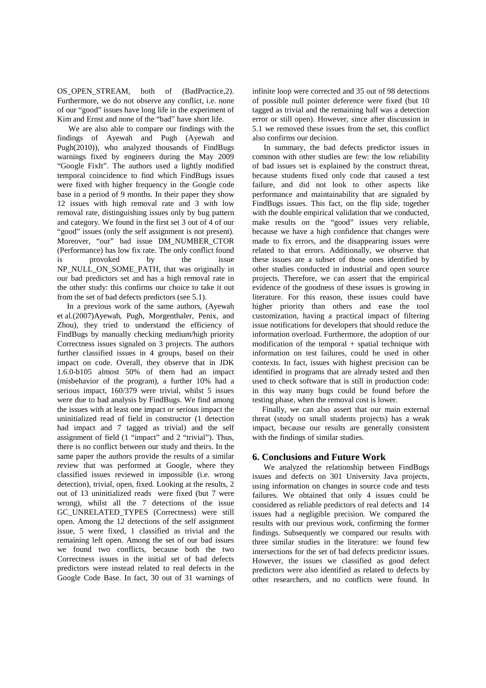OS OPEN STREAM, both of (BadPractice,2). Furthermore, we do not observe any conflict, i.e. none of our "good" issues have long life in the experiment of Kim and Ernst and none of the "bad" have short life.

We are also able to compare our findings with the findings of Ayewah and Pugh (Ayewah and Pugh(2010)), who analyzed thousands of FindBugs warnings fixed by engineers during the May 2009 "Google FixIt". The authors used a lightly modified temporal coincidence to find which FindBugs issues were fixed with higher frequency in the Google code base in a period of 9 months. In their paper they show 12 issues with high removal rate and 3 with low removal rate, distinguishing issues only by bug pattern and category. We found in the first set 3 out of 4 of our "good" issues (only the self assignment is not present). Moreover, "our" bad issue DM\_NUMBER\_CTOR (Performance) has low fix rate. The only conflict found is provoked by the issue NP\_NULL\_ON\_SOME\_PATH, that was originally in our bad predictors set and has a high removal rate in the other study: this confirms our choice to take it out from the set of bad defects predictors (see 5.1).

In a previous work of the same authors, (Ayewah et al.(2007)Ayewah, Pugh, Morgenthaler, Penix, and Zhou), they tried to understand the efficiency of FindBugs by manually checking medium/high priority Correctness issues signaled on 3 projects. The authors further classified issues in 4 groups, based on their impact on code. Overall, they observe that in JDK 1.6.0-b105 almost 50% of them had an impact (misbehavior of the program), a further 10% had a serious impact, 160/379 were trivial, whilst 5 issues were due to bad analysis by FindBugs. We find among the issues with at least one impact or serious impact the uninitialized read of field in constructor (1 detection had impact and 7 tagged as trivial) and the self assignment of field (1 "impact" and 2 "trivial"). Thus, there is no conflict between our study and theirs. In the same paper the authors provide the results of a similar review that was performed at Google, where they classified issues reviewed in impossible (i.e. wrong detection), trivial, open, fixed. Looking at the results, 2 out of 13 uninitialized reads were fixed (but 7 were wrong), whilst all the 7 detections of the issue GC\_UNRELATED\_TYPES (Correctness) were still open. Among the 12 detections of the self assignment issue, 5 were fixed, 1 classified as trivial and the remaining left open. Among the set of our bad issues we found two conflicts, because both the two Correctness issues in the initial set of bad defects predictors were instead related to real defects in the Google Code Base. In fact, 30 out of 31 warnings of infinite loop were corrected and 35 out of 98 detections of possible null pointer deference were fixed (but 10 tagged as trivial and the remaining half was a detection error or still open). However, since after discussion in 5.1 we removed these issues from the set, this conflict also confirms our decision.

In summary, the bad defects predictor issues in common with other studies are few: the low reliability of bad issues set is explained by the construct threat, because students fixed only code that caused a test failure, and did not look to other aspects like performance and maintainability that are signaled by FindBugs issues. This fact, on the flip side, together with the double empirical validation that we conducted, make results on the "good" issues very reliable, because we have a high confidence that changes were made to fix errors, and the disappearing issues were related to that errors. Additionally, we observe that these issues are a subset of those ones identified by other studies conducted in industrial and open source projects. Therefore, we can assert that the empirical evidence of the goodness of these issues is growing in literature. For this reason, these issues could have higher priority than others and ease the tool customization, having a practical impact of filtering issue notifications for developers that should reduce the information overload. Furthermore, the adoption of our modification of the temporal  $+$  spatial technique with information on test failures, could be used in other contexts. In fact, issues with highest precision can be identified in programs that are already tested and then used to check software that is still in production code: in this way many bugs could be found before the testing phase, when the removal cost is lower.

Finally, we can also assert that our main external threat (study on small students projects) has a weak impact, because our results are generally consistent with the findings of similar studies.

# **6. Conclusions and Future Work**

We analyzed the relationship between FindBugs issues and defects on 301 University Java projects, using information on changes in source code and tests failures. We obtained that only 4 issues could be considered as reliable predictors of real defects and 14 issues had a negligible precision. We compared the results with our previous work, confirming the former findings. Subsequently we compared our results with three similar studies in the literature: we found few intersections for the set of bad defects predictor issues. However, the issues we classified as good defect predictors were also identified as related to defects by other researchers, and no conflicts were found. In